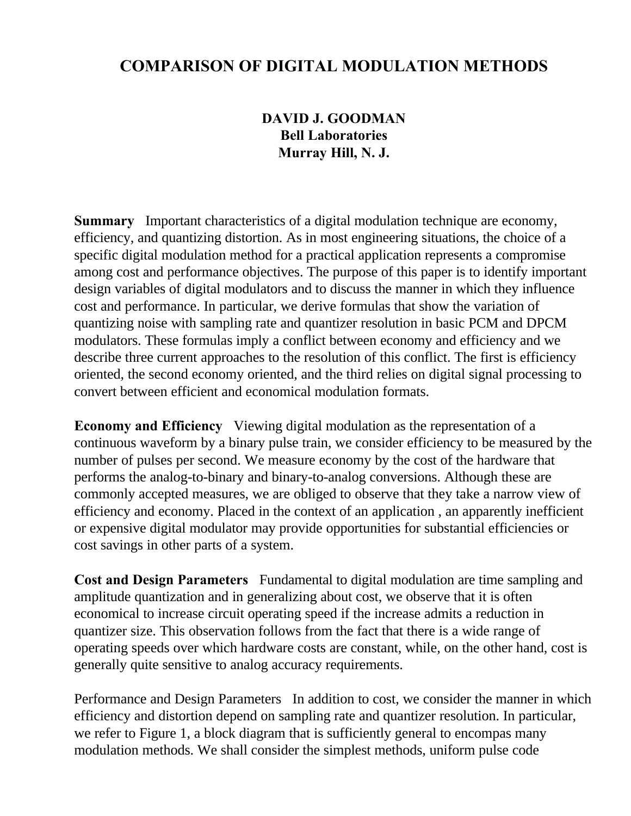## **COMPARISON OF DIGITAL MODULATION METHODS**

**DAVID J. GOODMAN Bell Laboratories Murray Hill, N. J.**

**Summary** Important characteristics of a digital modulation technique are economy, efficiency, and quantizing distortion. As in most engineering situations, the choice of a specific digital modulation method for a practical application represents a compromise among cost and performance objectives. The purpose of this paper is to identify important design variables of digital modulators and to discuss the manner in which they influence cost and performance. In particular, we derive formulas that show the variation of quantizing noise with sampling rate and quantizer resolution in basic PCM and DPCM modulators. These formulas imply a conflict between economy and efficiency and we describe three current approaches to the resolution of this conflict. The first is efficiency oriented, the second economy oriented, and the third relies on digital signal processing to convert between efficient and economical modulation formats.

**Economy and Efficiency** Viewing digital modulation as the representation of a continuous waveform by a binary pulse train, we consider efficiency to be measured by the number of pulses per second. We measure economy by the cost of the hardware that performs the analog-to-binary and binary-to-analog conversions. Although these are commonly accepted measures, we are obliged to observe that they take a narrow view of efficiency and economy. Placed in the context of an application , an apparently inefficient or expensive digital modulator may provide opportunities for substantial efficiencies or cost savings in other parts of a system.

**Cost and Design Parameters** Fundamental to digital modulation are time sampling and amplitude quantization and in generalizing about cost, we observe that it is often economical to increase circuit operating speed if the increase admits a reduction in quantizer size. This observation follows from the fact that there is a wide range of operating speeds over which hardware costs are constant, while, on the other hand, cost is generally quite sensitive to analog accuracy requirements.

Performance and Design Parameters In addition to cost, we consider the manner in which efficiency and distortion depend on sampling rate and quantizer resolution. In particular, we refer to Figure 1, a block diagram that is sufficiently general to encompas many modulation methods. We shall consider the simplest methods, uniform pulse code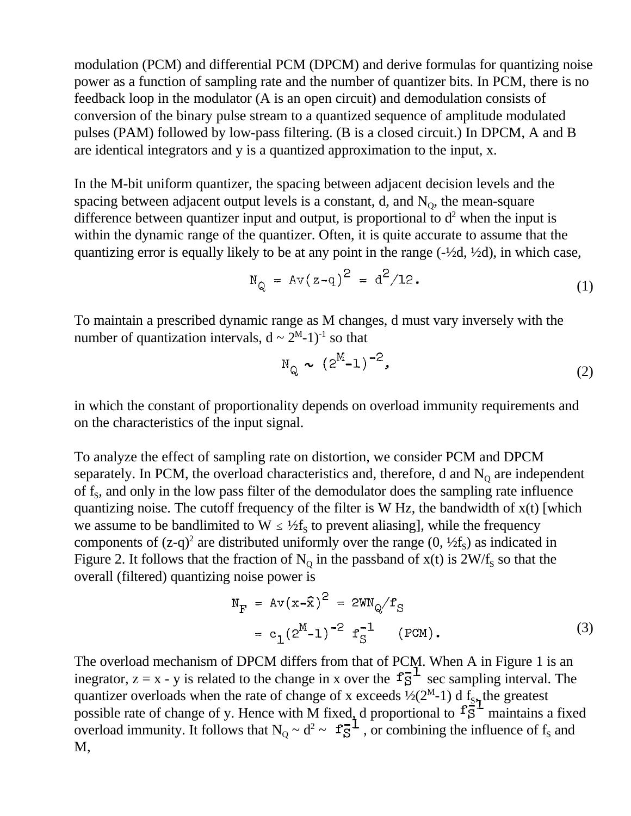modulation (PCM) and differential PCM (DPCM) and derive formulas for quantizing noise power as a function of sampling rate and the number of quantizer bits. In PCM, there is no feedback loop in the modulator (A is an open circuit) and demodulation consists of conversion of the binary pulse stream to a quantized sequence of amplitude modulated pulses (PAM) followed by low-pass filtering. (B is a closed circuit.) In DPCM, A and B are identical integrators and y is a quantized approximation to the input, x.

In the M-bit uniform quantizer, the spacing between adjacent decision levels and the spacing between adjacent output levels is a constant, d, and  $N<sub>o</sub>$ , the mean-square difference between quantizer input and output, is proportional to  $d^2$  when the input is within the dynamic range of the quantizer. Often, it is quite accurate to assume that the quantizing error is equally likely to be at any point in the range  $(-\frac{1}{2}d, \frac{1}{2}d)$ , in which case,

$$
N_Q = Av(z-q)^2 = d^2/12.
$$
 (1)

To maintain a prescribed dynamic range as M changes, d must vary inversely with the number of quantization intervals,  $d \sim 2^{M} - 1$ <sup>-1</sup> so that

$$
N_Q \sim (2^M - 1)^{-2}
$$
, (2)

in which the constant of proportionality depends on overload immunity requirements and on the characteristics of the input signal.

To analyze the effect of sampling rate on distortion, we consider PCM and DPCM separately. In PCM, the overload characteristics and, therefore, d and  $N_Q$  are independent of  $f_s$ , and only in the low pass filter of the demodulator does the sampling rate influence quantizing noise. The cutoff frequency of the filter is W Hz, the bandwidth of x(t) [which we assume to be bandlimited to  $W \leq \frac{1}{2} f_S$  to prevent aliasing], while the frequency components of  $(z-q)^2$  are distributed uniformly over the range  $(0, \frac{1}{2}f_s)$  as indicated in Figure 2. It follows that the fraction of N<sub>Q</sub> in the passband of  $x(t)$  is  $2W/f_s$  so that the overall (filtered) quantizing noise power is

$$
N_{F} = Av(x - \hat{x})^{2} = 2WN_{Q}/r_{S}
$$
  
=  $c_{1}(2^{M} - 1)^{-2} r_{S}^{-1}$  (PCM). (3)

The overload mechanism of DPCM differs from that of PCM. When A in Figure 1 is an inegrator,  $z = x - y$  is related to the change in x over the  $f_s^{-1}$  sec sampling interval. The quantizer overloads when the rate of change of x exceeds  $\frac{1}{2}(2^M - 1)$  d f<sub>s</sub><sub>1</sub> the greatest possible rate of change of y. Hence with M fixed, d proportional to  $\overline{fs}$  maintains a fixed overload immunity. It follows that  $N_Q \sim d^2 \sim f g^{-1}$ , or combining the influence of  $f_s$  and M,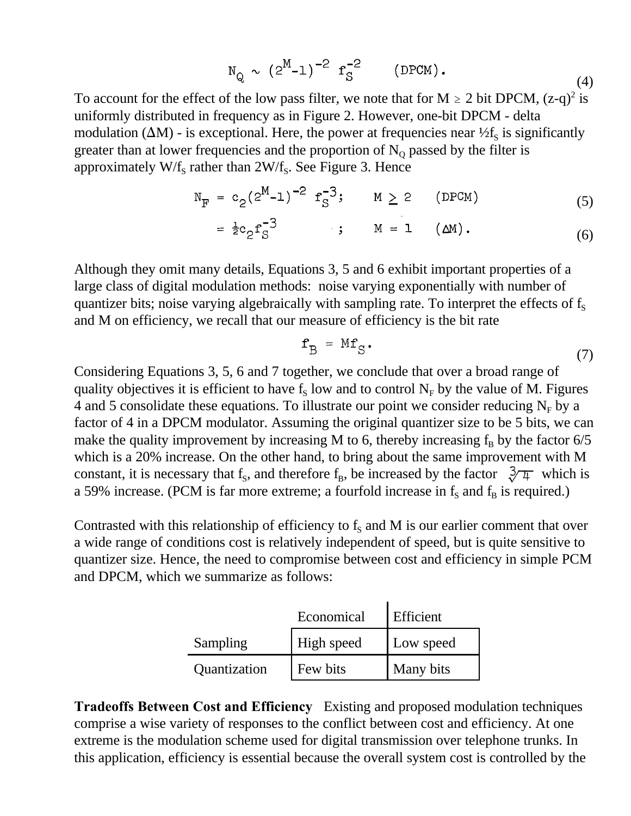$$
N_Q \sim (2^M - 1)^{-2} r_S^{-2}
$$
 (DPCM). (4)

To account for the effect of the low pass filter, we note that for  $M \ge 2$  bit DPCM,  $(z-q)^2$  is uniformly distributed in frequency as in Figure 2. However, one-bit DPCM - delta modulation ( $\Delta M$ ) - is exceptional. Here, the power at frequencies near  $\frac{1}{2}f_S$  is significantly greater than at lower frequencies and the proportion of  $N<sub>o</sub>$  passed by the filter is approximately  $W/f_s$  rather than  $2W/f_s$ . See Figure 3. Hence

$$
N_F = c_2 (2^M - 1)^{-2} r_S^{-3}; \t M \ge 2
$$
 (DPCM) (5)

$$
= \frac{1}{2} c_2 f_S^{-3} \qquad ; \qquad M = 1 \qquad (\Delta M). \qquad (6)
$$

Although they omit many details, Equations 3, 5 and 6 exhibit important properties of a large class of digital modulation methods: noise varying exponentially with number of quantizer bits; noise varying algebraically with sampling rate. To interpret the effects of  $f<sub>S</sub>$ and M on efficiency, we recall that our measure of efficiency is the bit rate

$$
\mathbf{f}_{\mathbf{B}} = \mathbf{M} \mathbf{f}_{\mathbf{S}}.
$$
 (7)

Considering Equations 3, 5, 6 and 7 together, we conclude that over a broad range of quality objectives it is efficient to have  $f_s$  low and to control  $N_F$  by the value of M. Figures 4 and 5 consolidate these equations. To illustrate our point we consider reducing  $N_F$  by a factor of 4 in a DPCM modulator. Assuming the original quantizer size to be 5 bits, we can make the quality improvement by increasing M to 6, thereby increasing  $f_B$  by the factor 6/5 which is a 20% increase. On the other hand, to bring about the same improvement with M constant, it is necessary that f<sub>s</sub>, and therefore f<sub>B</sub>, be increased by the factor  $\sqrt[3]{4}$  which is a 59% increase. (PCM is far more extreme; a fourfold increase in  $f_s$  and  $f_B$  is required.)

Contrasted with this relationship of efficiency to  $f_s$  and M is our earlier comment that over a wide range of conditions cost is relatively independent of speed, but is quite sensitive to quantizer size. Hence, the need to compromise between cost and efficiency in simple PCM and DPCM, which we summarize as follows:

|              | Economical | Efficient |
|--------------|------------|-----------|
| Sampling     | High speed | Low speed |
| Quantization | Few bits   | Many bits |

 $\blacksquare$ 

**Tradeoffs Between Cost and Efficiency** Existing and proposed modulation techniques comprise a wise variety of responses to the conflict between cost and efficiency. At one extreme is the modulation scheme used for digital transmission over telephone trunks. In this application, efficiency is essential because the overall system cost is controlled by the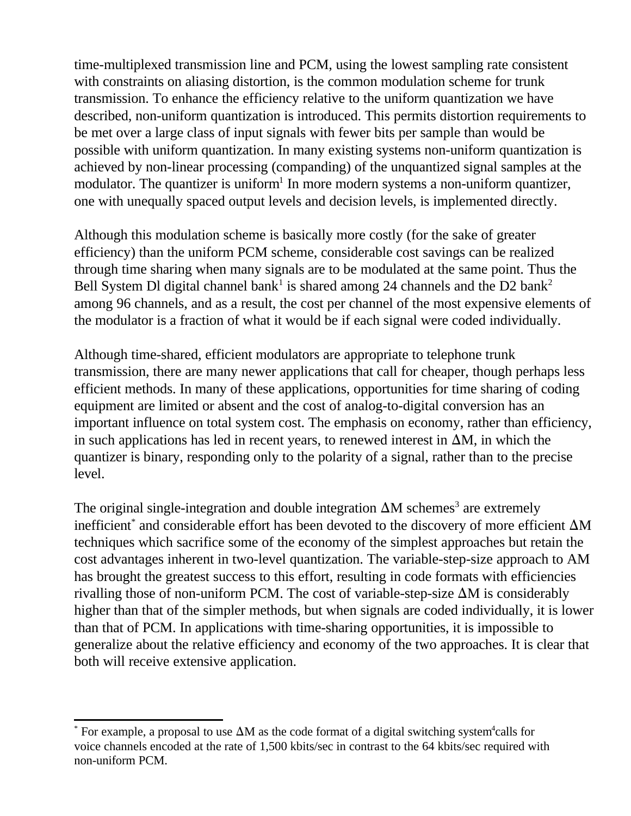time-multiplexed transmission line and PCM, using the lowest sampling rate consistent with constraints on aliasing distortion, is the common modulation scheme for trunk transmission. To enhance the efficiency relative to the uniform quantization we have described, non-uniform quantization is introduced. This permits distortion requirements to be met over a large class of input signals with fewer bits per sample than would be possible with uniform quantization. In many existing systems non-uniform quantization is achieved by non-linear processing (companding) of the unquantized signal samples at the modulator. The quantizer is uniform<sup>1</sup> In more modern systems a non-uniform quantizer, one with unequally spaced output levels and decision levels, is implemented directly.

Although this modulation scheme is basically more costly (for the sake of greater efficiency) than the uniform PCM scheme, considerable cost savings can be realized through time sharing when many signals are to be modulated at the same point. Thus the Bell System Dl digital channel bank<sup>1</sup> is shared among 24 channels and the D2 bank<sup>2</sup> among 96 channels, and as a result, the cost per channel of the most expensive elements of the modulator is a fraction of what it would be if each signal were coded individually.

Although time-shared, efficient modulators are appropriate to telephone trunk transmission, there are many newer applications that call for cheaper, though perhaps less efficient methods. In many of these applications, opportunities for time sharing of coding equipment are limited or absent and the cost of analog-to-digital conversion has an important influence on total system cost. The emphasis on economy, rather than efficiency, in such applications has led in recent years, to renewed interest in  $\Delta M$ , in which the quantizer is binary, responding only to the polarity of a signal, rather than to the precise level.

The original single-integration and double integration  $\Delta M$  schemes<sup>3</sup> are extremely inefficient\* and considerable effort has been devoted to the discovery of more efficient  $\Delta M$ techniques which sacrifice some of the economy of the simplest approaches but retain the cost advantages inherent in two-level quantization. The variable-step-size approach to AM has brought the greatest success to this effort, resulting in code formats with efficiencies rivalling those of non-uniform PCM. The cost of variable-step-size  $\Delta M$  is considerably higher than that of the simpler methods, but when signals are coded individually, it is lower than that of PCM. In applications with time-sharing opportunities, it is impossible to generalize about the relative efficiency and economy of the two approaches. It is clear that both will receive extensive application.

<sup>\*</sup> For example, a proposal to use  $\Delta M$  as the code format of a digital switching system<sup>4</sup>calls for voice channels encoded at the rate of 1,500 kbits/sec in contrast to the 64 kbits/sec required with non-uniform PCM.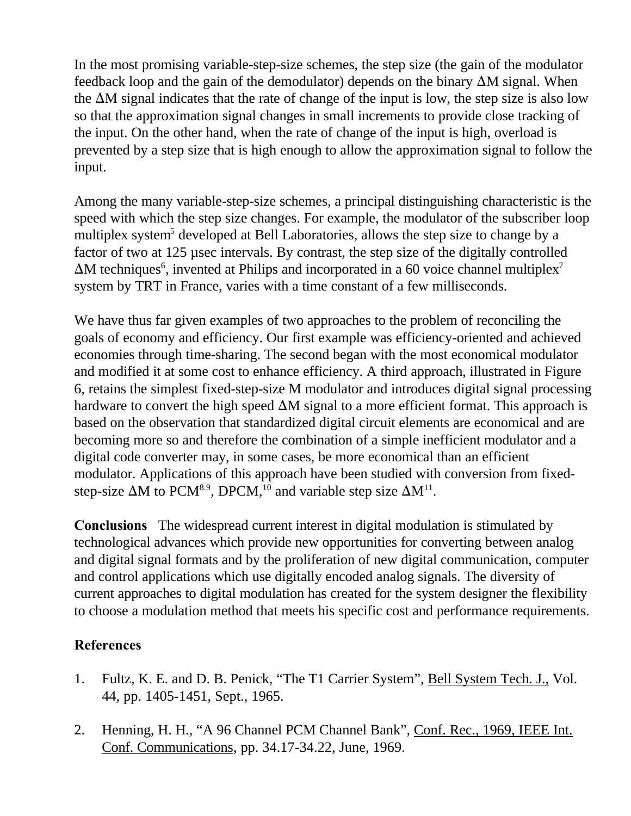In the most promising variable-step-size schemes, the step size (the gain of the modulator feedback loop and the gain of the demodulator) depends on the binary  $\Delta M$  signal. When the  $\Delta M$  signal indicates that the rate of change of the input is low, the step size is also low so that the approximation signal changes in small increments to provide close tracking of the input. On the other hand, when the rate of change of the input is high, overload is prevented by a step size that is high enough to allow the approximation signal to follow the input.

Among the many variable-step-size schemes, a principal distinguishing characteristic is the speed with which the step size changes. For example, the modulator of the subscriber loop multiplex system<sup>5</sup> developed at Bell Laboratories, allows the step size to change by a factor of two at 125 µsec intervals. By contrast, the step size of the digitally controlled  $\Delta M$  techniques<sup>6</sup>, invented at Philips and incorporated in a 60 voice channel multiplex<sup>7</sup> system by TRT in France, varies with a time constant of a few milliseconds.

We have thus far given examples of two approaches to the problem of reconciling the goals of economy and efficiency. Our first example was efficiency-oriented and achieved economies through time-sharing. The second began with the most economical modulator and modified it at some cost to enhance efficiency. A third approach, illustrated in Figure 6, retains the simplest fixed-step-size M modulator and introduces digital signal processing hardware to convert the high speed  $\Delta M$  signal to a more efficient format. This approach is based on the observation that standardized digital circuit elements are economical and are becoming more so and therefore the combination of a simple inefficient modulator and a digital code converter may, in some cases, be more economical than an efficient modulator. Applications of this approach have been studied with conversion from fixedstep-size  $\Delta M$  to PCM<sup>8.9</sup>, DPCM,<sup>10</sup> and variable step size  $\Delta M^{11}$ .

**Conclusions** The widespread current interest in digital modulation is stimulated by technological advances which provide new opportunities for converting between analog and digital signal formats and by the proliferation of new digital communication, computer and control applications which use digitally encoded analog signals. The diversity of current approaches to digital modulation has created for the system designer the flexibility to choose a modulation method that meets his specific cost and performance requirements.

## **References**

- 1. Fultz, K. E. and D. B. Penick, "The T1 Carrier System", Bell System Tech. J., Vol. 44, pp. 1405-1451, Sept., 1965.
- 2. Henning, H. H., "A 96 Channel PCM Channel Bank", Conf. Rec., 1969, IEEE Int. Conf. Communications, pp. 34.17-34.22, June, 1969.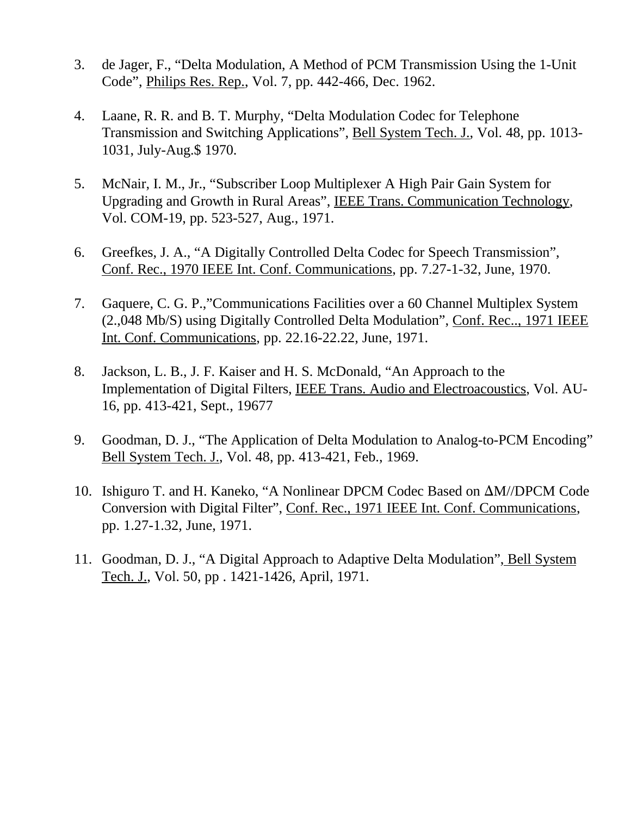- 3. de Jager, F., "Delta Modulation, A Method of PCM Transmission Using the 1-Unit Code", Philips Res. Rep., Vol. 7, pp. 442-466, Dec. 1962.
- 4. Laane, R. R. and B. T. Murphy, "Delta Modulation Codec for Telephone Transmission and Switching Applications", Bell System Tech. J., Vol. 48, pp. 1013- 1031, July-Aug.\$ 1970.
- 5. McNair, I. M., Jr., "Subscriber Loop Multiplexer A High Pair Gain System for Upgrading and Growth in Rural Areas", IEEE Trans. Communication Technology, Vol. COM-19, pp. 523-527, Aug., 1971.
- 6. Greefkes, J. A., "A Digitally Controlled Delta Codec for Speech Transmission", Conf. Rec., 1970 IEEE Int. Conf. Communications, pp. 7.27-1-32, June, 1970.
- 7. Gaquere, C. G. P.,"Communications Facilities over a 60 Channel Multiplex System (2.,048 Mb/S) using Digitally Controlled Delta Modulation", Conf. Rec.., 1971 IEEE Int. Conf. Communications, pp. 22.16-22.22, June, 1971.
- 8. Jackson, L. B., J. F. Kaiser and H. S. McDonald, "An Approach to the Implementation of Digital Filters, IEEE Trans. Audio and Electroacoustics, Vol. AU-16, pp. 413-421, Sept., 19677
- 9. Goodman, D. J., "The Application of Delta Modulation to Analog-to-PCM Encoding" Bell System Tech. J., Vol. 48, pp. 413-421, Feb., 1969.
- 10. Ishiguro T. and H. Kaneko, "A Nonlinear DPCM Codec Based on  $\Delta M$ //DPCM Code Conversion with Digital Filter", Conf. Rec., 1971 IEEE Int. Conf. Communications, pp. 1.27-1.32, June, 1971.
- 11. Goodman, D. J., "A Digital Approach to Adaptive Delta Modulation", Bell System Tech. J., Vol. 50, pp . 1421-1426, April, 1971.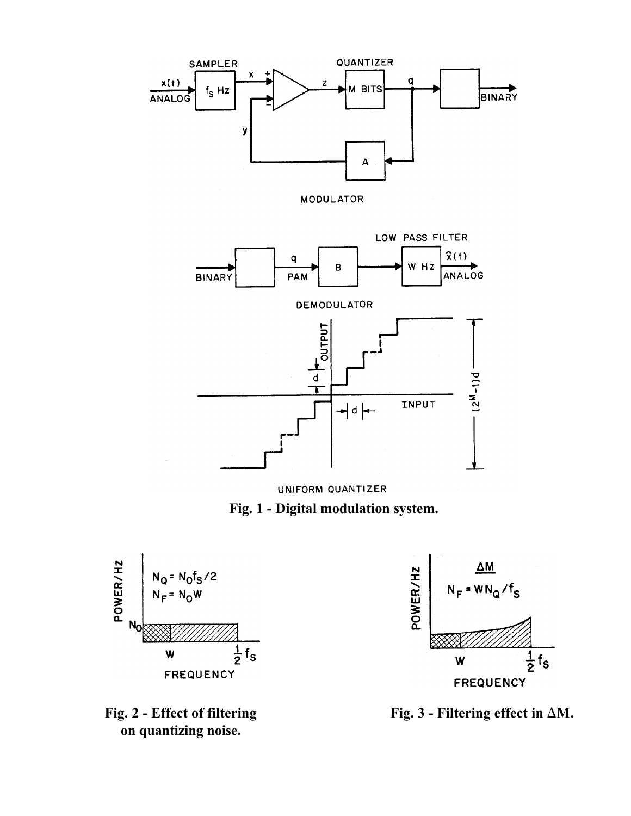





UNIFORM QUANTIZER **Fig. 1 - Digital modulation system.**